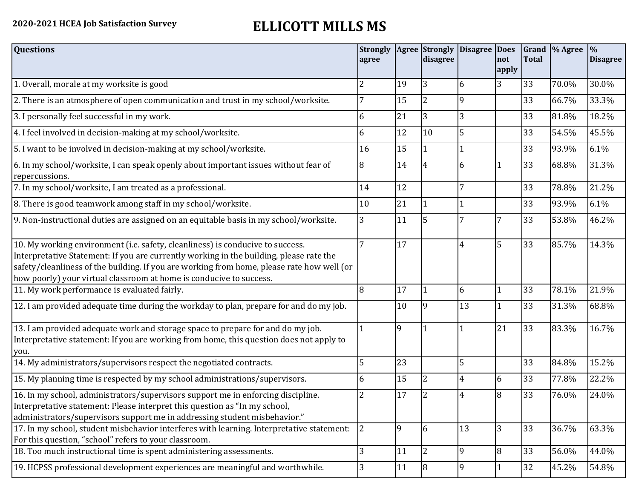## **2020-2021 HCEA Job Satisfaction Survey ELLICOTT MILLS MS**

| <b>Questions</b>                                                                                                                                                                                                                                                                                                                               | <b>Strongly</b><br>agree |              | Agree Strongly<br>disagree | Disagree  Does | not<br>apply | <b>Total</b> | Grand  % Agree | $\frac{9}{6}$<br><b>Disagree</b> |
|------------------------------------------------------------------------------------------------------------------------------------------------------------------------------------------------------------------------------------------------------------------------------------------------------------------------------------------------|--------------------------|--------------|----------------------------|----------------|--------------|--------------|----------------|----------------------------------|
| 1. Overall, morale at my worksite is good                                                                                                                                                                                                                                                                                                      | 2                        | 19           | 3                          | 6              | 3            | 33           | 70.0%          | 30.0%                            |
| 2. There is an atmosphere of open communication and trust in my school/worksite.                                                                                                                                                                                                                                                               |                          | 15           | $\overline{2}$             | $\mathbf{Q}$   |              | 33           | 66.7%          | 33.3%                            |
| 3. I personally feel successful in my work.                                                                                                                                                                                                                                                                                                    | 6                        | 21           | 3                          | 3              |              | 33           | 81.8%          | 18.2%                            |
| 4. I feel involved in decision-making at my school/worksite.                                                                                                                                                                                                                                                                                   | 6                        | 12           | 10                         | 5              |              | 33           | 54.5%          | 45.5%                            |
| 5. I want to be involved in decision-making at my school/worksite.                                                                                                                                                                                                                                                                             | 16                       | 15           |                            |                |              | 33           | 93.9%          | 6.1%                             |
| 6. In my school/worksite, I can speak openly about important issues without fear of<br>repercussions.                                                                                                                                                                                                                                          | 8                        | 14           | 4                          | 6              |              | 33           | 68.8%          | 31.3%                            |
| 7. In my school/worksite, I am treated as a professional.                                                                                                                                                                                                                                                                                      | 14                       | 12           |                            | 7              |              | 33           | 78.8%          | 21.2%                            |
| 8. There is good teamwork among staff in my school/worksite.                                                                                                                                                                                                                                                                                   | 10                       | 21           |                            |                |              | 33           | 93.9%          | 6.1%                             |
| 9. Non-instructional duties are assigned on an equitable basis in my school/worksite.                                                                                                                                                                                                                                                          | 3                        | 11           | 5                          | 7              | 7            | 33           | 53.8%          | 46.2%                            |
| 10. My working environment (i.e. safety, cleanliness) is conducive to success.<br>Interpretative Statement: If you are currently working in the building, please rate the<br>safety/cleanliness of the building. If you are working from home, please rate how well (or<br>how poorly) your virtual classroom at home is conducive to success. |                          | 17           |                            | 4              | 5            | 33           | 85.7%          | 14.3%                            |
| 11. My work performance is evaluated fairly.                                                                                                                                                                                                                                                                                                   | 8                        | 17           |                            | 6              |              | 33           | 78.1%          | 21.9%                            |
| 12. I am provided adequate time during the workday to plan, prepare for and do my job.                                                                                                                                                                                                                                                         |                          | 10           | 19                         | 13             | $\mathbf{1}$ | 33           | 31.3%          | 68.8%                            |
| 13. I am provided adequate work and storage space to prepare for and do my job.<br>Interpretative statement: If you are working from home, this question does not apply to<br>you.                                                                                                                                                             |                          | $\mathbf{q}$ |                            |                | 21           | 33           | 83.3%          | 16.7%                            |
| 14. My administrators/supervisors respect the negotiated contracts.                                                                                                                                                                                                                                                                            | 5                        | 23           |                            | 5              |              | 33           | 84.8%          | 15.2%                            |
| 15. My planning time is respected by my school administrations/supervisors.                                                                                                                                                                                                                                                                    | 6                        | 15           | $\overline{2}$             | 4              | 6            | 33           | 77.8%          | 22.2%                            |
| 16. In my school, administrators/supervisors support me in enforcing discipline.<br>Interpretative statement: Please interpret this question as "In my school,<br>administrators/supervisors support me in addressing student misbehavior."                                                                                                    | 2                        | 17           | <sup>2</sup>               | 4              | 8            | 33           | 76.0%          | 24.0%                            |
| 17. In my school, student misbehavior interferes with learning. Interpretative statement:<br>For this question, "school" refers to your classroom.                                                                                                                                                                                             | 2                        | 9            | 6                          | 13             | 3            | 33           | 36.7%          | 63.3%                            |
| 18. Too much instructional time is spent administering assessments.                                                                                                                                                                                                                                                                            | 3                        | 11           | 12                         | 9              | 18           | 33           | 56.0%          | 44.0%                            |
| 19. HCPSS professional development experiences are meaningful and worthwhile.                                                                                                                                                                                                                                                                  | 3                        | 11           | 8                          | 9              | 1            | 32           | 45.2%          | 54.8%                            |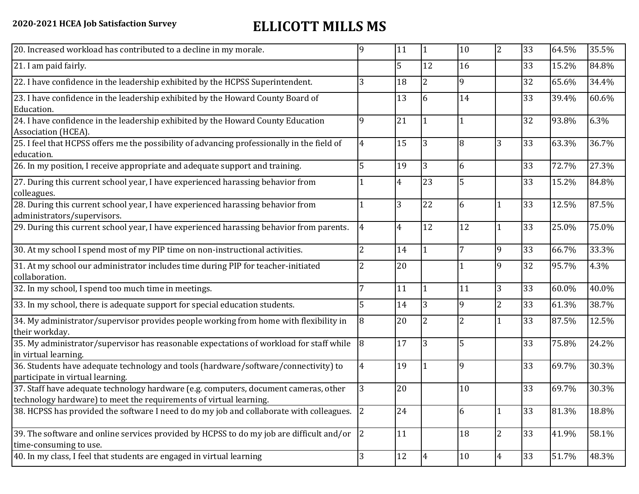## **2020-2021 HCEA Job Satisfaction Survey ELLICOTT MILLS MS**

| 5<br>33<br>12<br>16<br>15.2%<br>21. I am paid fairly.<br>$\overline{2}$<br>9<br>22. I have confidence in the leadership exhibited by the HCPSS Superintendent.<br>3<br>18<br>32<br>65.6%<br>13<br>23. I have confidence in the leadership exhibited by the Howard County Board of<br>14<br>33<br>39.4%<br>6<br>Education.<br>24. I have confidence in the leadership exhibited by the Howard County Education<br>21<br>32<br>9<br>93.8%<br>1<br>Association (HCEA).<br>15<br>13<br>33<br>25. I feel that HCPSS offers me the possibility of advancing professionally in the field of<br>8<br>3<br>63.3%<br>$\overline{4}$<br>education.<br>19<br>$\overline{3}$<br>26. In my position, I receive appropriate and adequate support and training.<br>5<br>33<br>72.7%<br>6<br>5<br>$\overline{4}$<br>33<br>27. During this current school year, I have experienced harassing behavior from<br>23<br>15.2%<br>colleagues.<br>28. During this current school year, I have experienced harassing behavior from<br>3<br>22<br>33<br>6<br>12.5%<br>administrators/supervisors.<br>12<br>29. During this current school year, I have experienced harassing behavior from parents.<br>12<br>33<br>$\overline{4}$<br>$\overline{4}$<br>25.0%<br>7<br>9<br>33<br>30. At my school I spend most of my PIP time on non-instructional activities.<br>$\overline{2}$<br>14<br>66.7%<br>$\overline{1}$<br>20<br>31. At my school our administrator includes time during PIP for teacher-initiated<br>9<br>32<br>2<br>95.7%<br>collaboration.<br>11<br>11<br>3<br>33<br>32. In my school, I spend too much time in meetings.<br>$\overline{1}$<br>60.0%<br>7<br>14<br>$\overline{3}$<br>9<br>$\overline{2}$<br>5<br>33<br>33. In my school, there is adequate support for special education students.<br>61.3%<br>20<br>33<br>34. My administrator/supervisor provides people working from home with flexibility in<br>$\overline{8}$<br>$\overline{2}$<br>2<br>87.5%<br>their workday.<br>17<br>$\overline{3}$<br>5<br>35. My administrator/supervisor has reasonable expectations of workload for staff while<br>8<br>33<br>75.8%<br>in virtual learning.<br>19<br>9<br>33<br>36. Students have adequate technology and tools (hardware/software/connectivity) to<br>69.7%<br>4<br>participate in virtual learning.<br>20<br>37. Staff have adequate technology hardware (e.g. computers, document cameras, other<br>10<br>33<br>69.7%<br>technology hardware) to meet the requirements of virtual learning.<br>38. HCPSS has provided the software I need to do my job and collaborate with colleagues. 2<br>24<br>33<br>81.3%<br>6<br>39. The software and online services provided by HCPSS to do my job are difficult and/or $\vert$ 2<br>11<br>18<br>33<br>41.9%<br>2<br>time-consuming to use.<br>40. In my class, I feel that students are engaged in virtual learning<br>12<br>3<br>10<br>33<br>51.7%<br> 4<br>4 | 20. Increased workload has contributed to a decline in my morale. | q | 11 | 11 | 10 | $\overline{2}$ | 33 | 64.5% | 35.5% |
|-----------------------------------------------------------------------------------------------------------------------------------------------------------------------------------------------------------------------------------------------------------------------------------------------------------------------------------------------------------------------------------------------------------------------------------------------------------------------------------------------------------------------------------------------------------------------------------------------------------------------------------------------------------------------------------------------------------------------------------------------------------------------------------------------------------------------------------------------------------------------------------------------------------------------------------------------------------------------------------------------------------------------------------------------------------------------------------------------------------------------------------------------------------------------------------------------------------------------------------------------------------------------------------------------------------------------------------------------------------------------------------------------------------------------------------------------------------------------------------------------------------------------------------------------------------------------------------------------------------------------------------------------------------------------------------------------------------------------------------------------------------------------------------------------------------------------------------------------------------------------------------------------------------------------------------------------------------------------------------------------------------------------------------------------------------------------------------------------------------------------------------------------------------------------------------------------------------------------------------------------------------------------------------------------------------------------------------------------------------------------------------------------------------------------------------------------------------------------------------------------------------------------------------------------------------------------------------------------------------------------------------------------------------------------------------------------------------------------------------------------------------------------------------------------------------------------------------------------------------------------------------------------------------|-------------------------------------------------------------------|---|----|----|----|----------------|----|-------|-------|
|                                                                                                                                                                                                                                                                                                                                                                                                                                                                                                                                                                                                                                                                                                                                                                                                                                                                                                                                                                                                                                                                                                                                                                                                                                                                                                                                                                                                                                                                                                                                                                                                                                                                                                                                                                                                                                                                                                                                                                                                                                                                                                                                                                                                                                                                                                                                                                                                                                                                                                                                                                                                                                                                                                                                                                                                                                                                                                           |                                                                   |   |    |    |    |                |    |       | 84.8% |
|                                                                                                                                                                                                                                                                                                                                                                                                                                                                                                                                                                                                                                                                                                                                                                                                                                                                                                                                                                                                                                                                                                                                                                                                                                                                                                                                                                                                                                                                                                                                                                                                                                                                                                                                                                                                                                                                                                                                                                                                                                                                                                                                                                                                                                                                                                                                                                                                                                                                                                                                                                                                                                                                                                                                                                                                                                                                                                           |                                                                   |   |    |    |    |                |    |       | 34.4% |
|                                                                                                                                                                                                                                                                                                                                                                                                                                                                                                                                                                                                                                                                                                                                                                                                                                                                                                                                                                                                                                                                                                                                                                                                                                                                                                                                                                                                                                                                                                                                                                                                                                                                                                                                                                                                                                                                                                                                                                                                                                                                                                                                                                                                                                                                                                                                                                                                                                                                                                                                                                                                                                                                                                                                                                                                                                                                                                           |                                                                   |   |    |    |    |                |    |       | 60.6% |
|                                                                                                                                                                                                                                                                                                                                                                                                                                                                                                                                                                                                                                                                                                                                                                                                                                                                                                                                                                                                                                                                                                                                                                                                                                                                                                                                                                                                                                                                                                                                                                                                                                                                                                                                                                                                                                                                                                                                                                                                                                                                                                                                                                                                                                                                                                                                                                                                                                                                                                                                                                                                                                                                                                                                                                                                                                                                                                           |                                                                   |   |    |    |    |                |    |       | 6.3%  |
|                                                                                                                                                                                                                                                                                                                                                                                                                                                                                                                                                                                                                                                                                                                                                                                                                                                                                                                                                                                                                                                                                                                                                                                                                                                                                                                                                                                                                                                                                                                                                                                                                                                                                                                                                                                                                                                                                                                                                                                                                                                                                                                                                                                                                                                                                                                                                                                                                                                                                                                                                                                                                                                                                                                                                                                                                                                                                                           |                                                                   |   |    |    |    |                |    |       | 36.7% |
|                                                                                                                                                                                                                                                                                                                                                                                                                                                                                                                                                                                                                                                                                                                                                                                                                                                                                                                                                                                                                                                                                                                                                                                                                                                                                                                                                                                                                                                                                                                                                                                                                                                                                                                                                                                                                                                                                                                                                                                                                                                                                                                                                                                                                                                                                                                                                                                                                                                                                                                                                                                                                                                                                                                                                                                                                                                                                                           |                                                                   |   |    |    |    |                |    |       | 27.3% |
|                                                                                                                                                                                                                                                                                                                                                                                                                                                                                                                                                                                                                                                                                                                                                                                                                                                                                                                                                                                                                                                                                                                                                                                                                                                                                                                                                                                                                                                                                                                                                                                                                                                                                                                                                                                                                                                                                                                                                                                                                                                                                                                                                                                                                                                                                                                                                                                                                                                                                                                                                                                                                                                                                                                                                                                                                                                                                                           |                                                                   |   |    |    |    |                |    |       | 84.8% |
|                                                                                                                                                                                                                                                                                                                                                                                                                                                                                                                                                                                                                                                                                                                                                                                                                                                                                                                                                                                                                                                                                                                                                                                                                                                                                                                                                                                                                                                                                                                                                                                                                                                                                                                                                                                                                                                                                                                                                                                                                                                                                                                                                                                                                                                                                                                                                                                                                                                                                                                                                                                                                                                                                                                                                                                                                                                                                                           |                                                                   |   |    |    |    |                |    |       | 87.5% |
|                                                                                                                                                                                                                                                                                                                                                                                                                                                                                                                                                                                                                                                                                                                                                                                                                                                                                                                                                                                                                                                                                                                                                                                                                                                                                                                                                                                                                                                                                                                                                                                                                                                                                                                                                                                                                                                                                                                                                                                                                                                                                                                                                                                                                                                                                                                                                                                                                                                                                                                                                                                                                                                                                                                                                                                                                                                                                                           |                                                                   |   |    |    |    |                |    |       | 75.0% |
|                                                                                                                                                                                                                                                                                                                                                                                                                                                                                                                                                                                                                                                                                                                                                                                                                                                                                                                                                                                                                                                                                                                                                                                                                                                                                                                                                                                                                                                                                                                                                                                                                                                                                                                                                                                                                                                                                                                                                                                                                                                                                                                                                                                                                                                                                                                                                                                                                                                                                                                                                                                                                                                                                                                                                                                                                                                                                                           |                                                                   |   |    |    |    |                |    |       | 33.3% |
|                                                                                                                                                                                                                                                                                                                                                                                                                                                                                                                                                                                                                                                                                                                                                                                                                                                                                                                                                                                                                                                                                                                                                                                                                                                                                                                                                                                                                                                                                                                                                                                                                                                                                                                                                                                                                                                                                                                                                                                                                                                                                                                                                                                                                                                                                                                                                                                                                                                                                                                                                                                                                                                                                                                                                                                                                                                                                                           |                                                                   |   |    |    |    |                |    |       | 4.3%  |
|                                                                                                                                                                                                                                                                                                                                                                                                                                                                                                                                                                                                                                                                                                                                                                                                                                                                                                                                                                                                                                                                                                                                                                                                                                                                                                                                                                                                                                                                                                                                                                                                                                                                                                                                                                                                                                                                                                                                                                                                                                                                                                                                                                                                                                                                                                                                                                                                                                                                                                                                                                                                                                                                                                                                                                                                                                                                                                           |                                                                   |   |    |    |    |                |    |       | 40.0% |
|                                                                                                                                                                                                                                                                                                                                                                                                                                                                                                                                                                                                                                                                                                                                                                                                                                                                                                                                                                                                                                                                                                                                                                                                                                                                                                                                                                                                                                                                                                                                                                                                                                                                                                                                                                                                                                                                                                                                                                                                                                                                                                                                                                                                                                                                                                                                                                                                                                                                                                                                                                                                                                                                                                                                                                                                                                                                                                           |                                                                   |   |    |    |    |                |    |       | 38.7% |
|                                                                                                                                                                                                                                                                                                                                                                                                                                                                                                                                                                                                                                                                                                                                                                                                                                                                                                                                                                                                                                                                                                                                                                                                                                                                                                                                                                                                                                                                                                                                                                                                                                                                                                                                                                                                                                                                                                                                                                                                                                                                                                                                                                                                                                                                                                                                                                                                                                                                                                                                                                                                                                                                                                                                                                                                                                                                                                           |                                                                   |   |    |    |    |                |    |       | 12.5% |
|                                                                                                                                                                                                                                                                                                                                                                                                                                                                                                                                                                                                                                                                                                                                                                                                                                                                                                                                                                                                                                                                                                                                                                                                                                                                                                                                                                                                                                                                                                                                                                                                                                                                                                                                                                                                                                                                                                                                                                                                                                                                                                                                                                                                                                                                                                                                                                                                                                                                                                                                                                                                                                                                                                                                                                                                                                                                                                           |                                                                   |   |    |    |    |                |    |       | 24.2% |
|                                                                                                                                                                                                                                                                                                                                                                                                                                                                                                                                                                                                                                                                                                                                                                                                                                                                                                                                                                                                                                                                                                                                                                                                                                                                                                                                                                                                                                                                                                                                                                                                                                                                                                                                                                                                                                                                                                                                                                                                                                                                                                                                                                                                                                                                                                                                                                                                                                                                                                                                                                                                                                                                                                                                                                                                                                                                                                           |                                                                   |   |    |    |    |                |    |       | 30.3% |
|                                                                                                                                                                                                                                                                                                                                                                                                                                                                                                                                                                                                                                                                                                                                                                                                                                                                                                                                                                                                                                                                                                                                                                                                                                                                                                                                                                                                                                                                                                                                                                                                                                                                                                                                                                                                                                                                                                                                                                                                                                                                                                                                                                                                                                                                                                                                                                                                                                                                                                                                                                                                                                                                                                                                                                                                                                                                                                           |                                                                   |   |    |    |    |                |    |       | 30.3% |
|                                                                                                                                                                                                                                                                                                                                                                                                                                                                                                                                                                                                                                                                                                                                                                                                                                                                                                                                                                                                                                                                                                                                                                                                                                                                                                                                                                                                                                                                                                                                                                                                                                                                                                                                                                                                                                                                                                                                                                                                                                                                                                                                                                                                                                                                                                                                                                                                                                                                                                                                                                                                                                                                                                                                                                                                                                                                                                           |                                                                   |   |    |    |    |                |    |       | 18.8% |
|                                                                                                                                                                                                                                                                                                                                                                                                                                                                                                                                                                                                                                                                                                                                                                                                                                                                                                                                                                                                                                                                                                                                                                                                                                                                                                                                                                                                                                                                                                                                                                                                                                                                                                                                                                                                                                                                                                                                                                                                                                                                                                                                                                                                                                                                                                                                                                                                                                                                                                                                                                                                                                                                                                                                                                                                                                                                                                           |                                                                   |   |    |    |    |                |    |       | 58.1% |
|                                                                                                                                                                                                                                                                                                                                                                                                                                                                                                                                                                                                                                                                                                                                                                                                                                                                                                                                                                                                                                                                                                                                                                                                                                                                                                                                                                                                                                                                                                                                                                                                                                                                                                                                                                                                                                                                                                                                                                                                                                                                                                                                                                                                                                                                                                                                                                                                                                                                                                                                                                                                                                                                                                                                                                                                                                                                                                           |                                                                   |   |    |    |    |                |    |       | 48.3% |